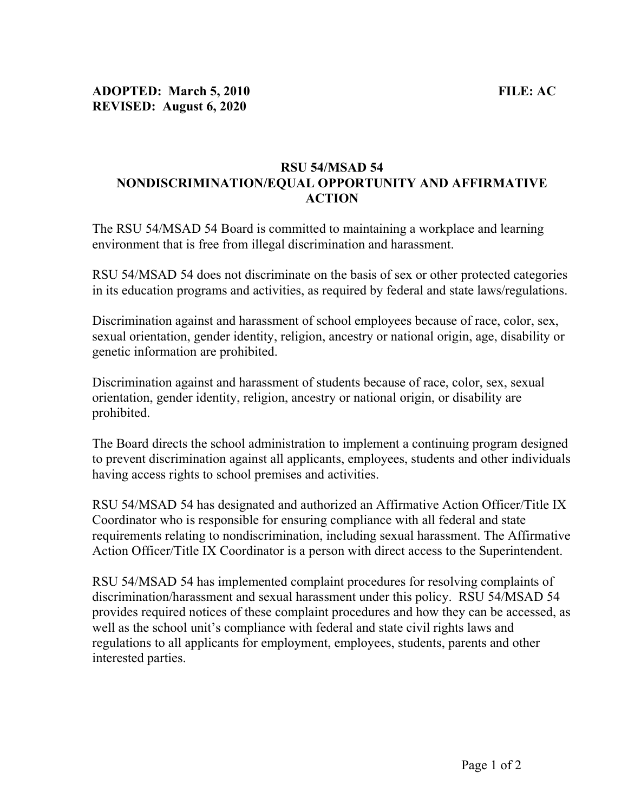## RSU 54/MSAD 54 NONDISCRIMINATION/EQUAL OPPORTUNITY AND AFFIRMATIVE ACTION

The RSU 54/MSAD 54 Board is committed to maintaining a workplace and learning environment that is free from illegal discrimination and harassment.

RSU 54/MSAD 54 does not discriminate on the basis of sex or other protected categories in its education programs and activities, as required by federal and state laws/regulations.

Discrimination against and harassment of school employees because of race, color, sex, sexual orientation, gender identity, religion, ancestry or national origin, age, disability or genetic information are prohibited.

Discrimination against and harassment of students because of race, color, sex, sexual orientation, gender identity, religion, ancestry or national origin, or disability are prohibited.

The Board directs the school administration to implement a continuing program designed to prevent discrimination against all applicants, employees, students and other individuals having access rights to school premises and activities.

RSU 54/MSAD 54 has designated and authorized an Affirmative Action Officer/Title IX Coordinator who is responsible for ensuring compliance with all federal and state requirements relating to nondiscrimination, including sexual harassment. The Affirmative Action Officer/Title IX Coordinator is a person with direct access to the Superintendent.

RSU 54/MSAD 54 has implemented complaint procedures for resolving complaints of discrimination/harassment and sexual harassment under this policy. RSU 54/MSAD 54 provides required notices of these complaint procedures and how they can be accessed, as well as the school unit's compliance with federal and state civil rights laws and regulations to all applicants for employment, employees, students, parents and other interested parties.